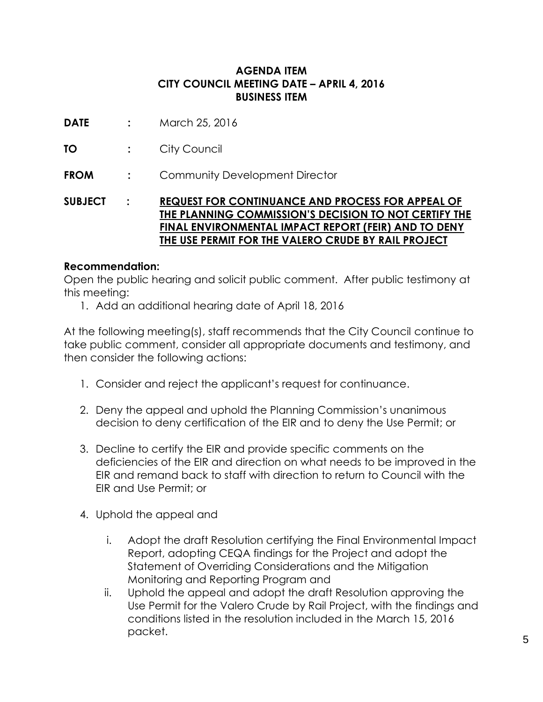## **AGENDA ITEM CITY COUNCIL MEETING DATE – APRIL 4, 2016 BUSINESS ITEM**

- **DATE :** March 25, 2016
- **TO :** City Council
- **FROM :** Community Development Director

**SUBJECT : REQUEST FOR CONTINUANCE AND PROCESS FOR APPEAL OF THE PLANNING COMMISSION'S DECISION TO NOT CERTIFY THE FINAL ENVIRONMENTAL IMPACT REPORT (FEIR) AND TO DENY THE USE PERMIT FOR THE VALERO CRUDE BY RAIL PROJECT**

### **Recommendation:**

Open the public hearing and solicit public comment. After public testimony at this meeting:

1. Add an additional hearing date of April 18, 2016

At the following meeting(s), staff recommends that the City Council continue to take public comment, consider all appropriate documents and testimony, and then consider the following actions:

- 1. Consider and reject the applicant's request for continuance.
- 2. Deny the appeal and uphold the Planning Commission's unanimous decision to deny certification of the EIR and to deny the Use Permit; or
- 3. Decline to certify the EIR and provide specific comments on the deficiencies of the EIR and direction on what needs to be improved in the EIR and remand back to staff with direction to return to Council with the EIR and Use Permit; or
- 4. Uphold the appeal and
	- i. Adopt the draft Resolution certifying the Final Environmental Impact Report, adopting CEQA findings for the Project and adopt the Statement of Overriding Considerations and the Mitigation Monitoring and Reporting Program and
	- ii. Uphold the appeal and adopt the draft Resolution approving the Use Permit for the Valero Crude by Rail Project, with the findings and conditions listed in the resolution included in the March 15, 2016 packet.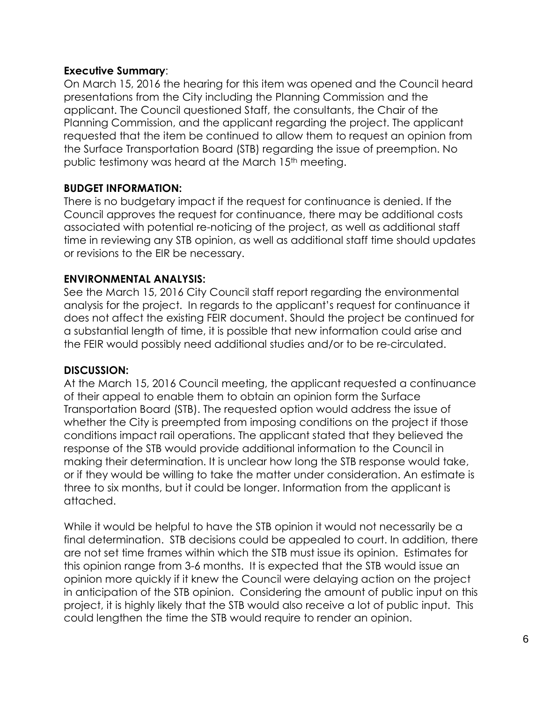### **Executive Summary**:

On March 15, 2016 the hearing for this item was opened and the Council heard presentations from the City including the Planning Commission and the applicant. The Council questioned Staff, the consultants, the Chair of the Planning Commission, and the applicant regarding the project. The applicant requested that the item be continued to allow them to request an opinion from the Surface Transportation Board (STB) regarding the issue of preemption. No public testimony was heard at the March 15<sup>th</sup> meeting.

## **BUDGET INFORMATION:**

There is no budgetary impact if the request for continuance is denied. If the Council approves the request for continuance, there may be additional costs associated with potential re-noticing of the project, as well as additional staff time in reviewing any STB opinion, as well as additional staff time should updates or revisions to the EIR be necessary.

## **ENVIRONMENTAL ANALYSIS:**

See the March 15, 2016 City Council staff report regarding the environmental analysis for the project. In regards to the applicant's request for continuance it does not affect the existing FEIR document. Should the project be continued for a substantial length of time, it is possible that new information could arise and the FEIR would possibly need additional studies and/or to be re-circulated.

## **DISCUSSION:**

At the March 15, 2016 Council meeting, the applicant requested a continuance of their appeal to enable them to obtain an opinion form the Surface Transportation Board (STB). The requested option would address the issue of whether the City is preempted from imposing conditions on the project if those conditions impact rail operations. The applicant stated that they believed the response of the STB would provide additional information to the Council in making their determination. It is unclear how long the STB response would take, or if they would be willing to take the matter under consideration. An estimate is three to six months, but it could be longer. Information from the applicant is attached.

While it would be helpful to have the STB opinion it would not necessarily be a final determination. STB decisions could be appealed to court. In addition, there are not set time frames within which the STB must issue its opinion. Estimates for this opinion range from 3-6 months. It is expected that the STB would issue an opinion more quickly if it knew the Council were delaying action on the project in anticipation of the STB opinion. Considering the amount of public input on this project, it is highly likely that the STB would also receive a lot of public input. This could lengthen the time the STB would require to render an opinion.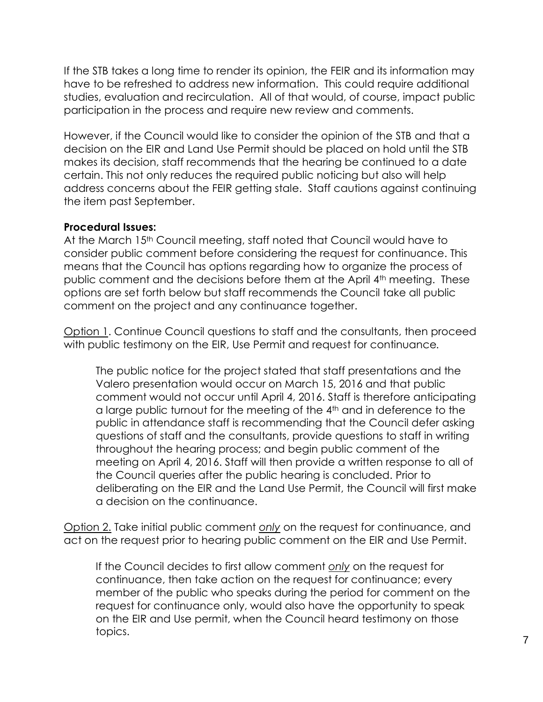If the STB takes a long time to render its opinion, the FEIR and its information may have to be refreshed to address new information. This could require additional studies, evaluation and recirculation. All of that would, of course, impact public participation in the process and require new review and comments.

However, if the Council would like to consider the opinion of the STB and that a decision on the EIR and Land Use Permit should be placed on hold until the STB makes its decision, staff recommends that the hearing be continued to a date certain. This not only reduces the required public noticing but also will help address concerns about the FEIR getting stale. Staff cautions against continuing the item past September.

#### **Procedural Issues:**

At the March 15<sup>th</sup> Council meeting, staff noted that Council would have to consider public comment before considering the request for continuance. This means that the Council has options regarding how to organize the process of public comment and the decisions before them at the April 4th meeting. These options are set forth below but staff recommends the Council take all public comment on the project and any continuance together.

Option 1. Continue Council questions to staff and the consultants, then proceed with public testimony on the EIR, Use Permit and request for continuance*.*

The public notice for the project stated that staff presentations and the Valero presentation would occur on March 15, 2016 and that public comment would not occur until April 4, 2016. Staff is therefore anticipating a large public turnout for the meeting of the 4th and in deference to the public in attendance staff is recommending that the Council defer asking questions of staff and the consultants, provide questions to staff in writing throughout the hearing process; and begin public comment of the meeting on April 4, 2016. Staff will then provide a written response to all of the Council queries after the public hearing is concluded. Prior to deliberating on the EIR and the Land Use Permit, the Council will first make a decision on the continuance.

Option 2. Take initial public comment *only* on the request for continuance, and act on the request prior to hearing public comment on the EIR and Use Permit.

If the Council decides to first allow comment *only* on the request for continuance, then take action on the request for continuance; every member of the public who speaks during the period for comment on the request for continuance only, would also have the opportunity to speak on the EIR and Use permit, when the Council heard testimony on those topics.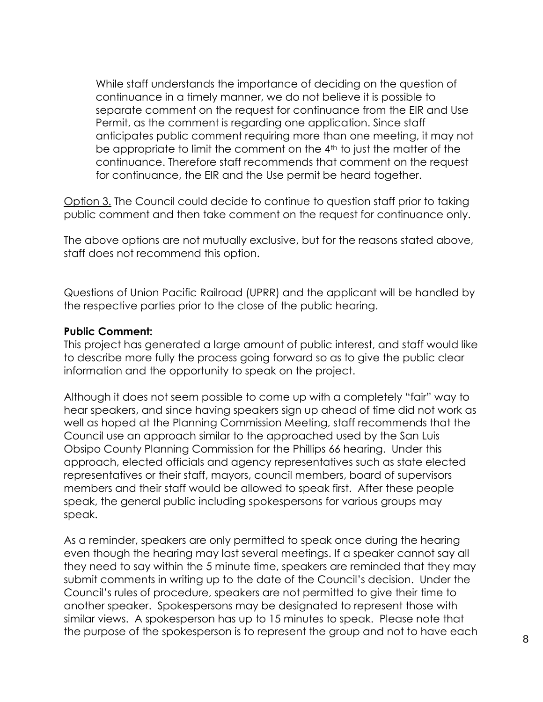While staff understands the importance of deciding on the question of continuance in a timely manner, we do not believe it is possible to separate comment on the request for continuance from the EIR and Use Permit, as the comment is regarding one application. Since staff anticipates public comment requiring more than one meeting, it may not be appropriate to limit the comment on the 4<sup>th</sup> to just the matter of the continuance. Therefore staff recommends that comment on the request for continuance, the EIR and the Use permit be heard together.

Option 3. The Council could decide to continue to question staff prior to taking public comment and then take comment on the request for continuance only.

The above options are not mutually exclusive, but for the reasons stated above, staff does not recommend this option.

Questions of Union Pacific Railroad (UPRR) and the applicant will be handled by the respective parties prior to the close of the public hearing.

#### **Public Comment:**

This project has generated a large amount of public interest, and staff would like to describe more fully the process going forward so as to give the public clear information and the opportunity to speak on the project.

Although it does not seem possible to come up with a completely "fair" way to hear speakers, and since having speakers sign up ahead of time did not work as well as hoped at the Planning Commission Meeting, staff recommends that the Council use an approach similar to the approached used by the San Luis Obsipo County Planning Commission for the Phillips 66 hearing. Under this approach, elected officials and agency representatives such as state elected representatives or their staff, mayors, council members, board of supervisors members and their staff would be allowed to speak first. After these people speak, the general public including spokespersons for various groups may speak.

As a reminder, speakers are only permitted to speak once during the hearing even though the hearing may last several meetings. If a speaker cannot say all they need to say within the 5 minute time, speakers are reminded that they may submit comments in writing up to the date of the Council's decision. Under the Council's rules of procedure, speakers are not permitted to give their time to another speaker. Spokespersons may be designated to represent those with similar views. A spokesperson has up to 15 minutes to speak. Please note that the purpose of the spokesperson is to represent the group and not to have each  $\overline{\phantom{0}8}$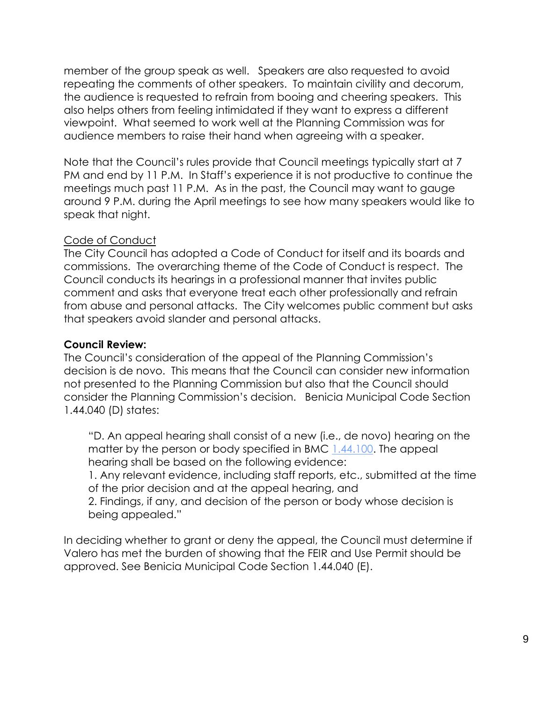member of the group speak as well. Speakers are also requested to avoid repeating the comments of other speakers. To maintain civility and decorum, the audience is requested to refrain from booing and cheering speakers. This also helps others from feeling intimidated if they want to express a different viewpoint. What seemed to work well at the Planning Commission was for audience members to raise their hand when agreeing with a speaker.

Note that the Council's rules provide that Council meetings typically start at 7 PM and end by 11 P.M. In Staff's experience it is not productive to continue the meetings much past 11 P.M. As in the past, the Council may want to gauge around 9 P.M. during the April meetings to see how many speakers would like to speak that night.

## Code of Conduct

The City Council has adopted a Code of Conduct for itself and its boards and commissions. The overarching theme of the Code of Conduct is respect. The Council conducts its hearings in a professional manner that invites public comment and asks that everyone treat each other professionally and refrain from abuse and personal attacks. The City welcomes public comment but asks that speakers avoid slander and personal attacks.

## **Council Review:**

The Council's consideration of the appeal of the Planning Commission's decision is de novo. This means that the Council can consider new information not presented to the Planning Commission but also that the Council should consider the Planning Commission's decision. Benicia Municipal Code Section 1.44.040 (D) states:

"D. An appeal hearing shall consist of a new (i.e., de novo) hearing on the matter by the person or body specified in BMC [1.44.100.](http://www.codepublishing.com/CA/Benicia/html/Benicia01/Benicia0144.html#1.44.100) The appeal hearing shall be based on the following evidence:

1. Any relevant evidence, including staff reports, etc., submitted at the time of the prior decision and at the appeal hearing, and

2. Findings, if any, and decision of the person or body whose decision is being appealed."

In deciding whether to grant or deny the appeal, the Council must determine if Valero has met the burden of showing that the FEIR and Use Permit should be approved. See Benicia Municipal Code Section 1.44.040 (E).